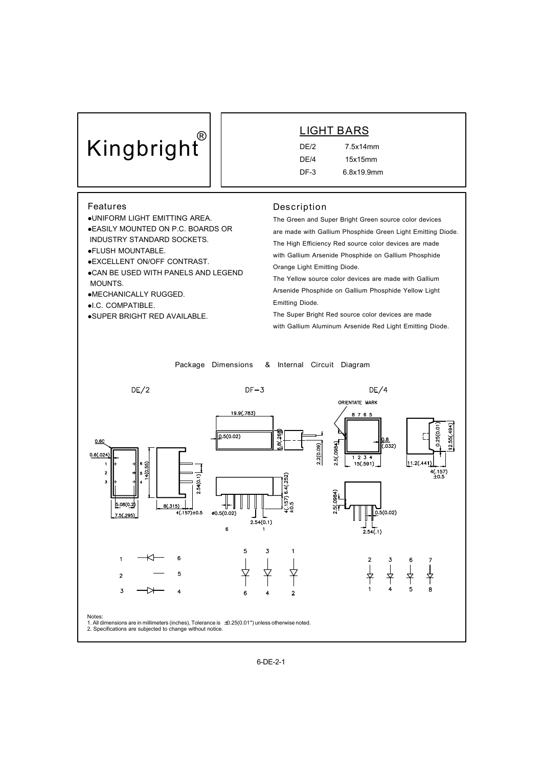# **Kingbright®**

## **LIGHT BARS**

DE/2 7.5x14mm DE/4 15x15mm DF-3 6.8x19.9mm

### **Features**

- lUNIFORM LIGHT EMITTING AREA.
- **.EASILY MOUNTED ON P.C. BOARDS OR** INDUSTRY STANDARD SOCKETS.
- **.**FLUSH MOUNTABLE.
- 
- lEXCELLENT ON/OFF CONTRAST.
- .CAN BE USED WITH PANELS AND LEGEND MOUNTS.
- **•MECHANICALLY RUGGED.**
- $\bullet$ I.C. COMPATIBLE.
- **.SUPER BRIGHT RED AVAILABLE.**

#### **Description**

The Green and Super Bright Green source color devices are made with Gallium Phosphide Green Light Emitting Diode. The High Efficiency Red source color devices are made with Gallium Arsenide Phosphide on Gallium Phosphide Orange Light Emitting Diode.

The Yellow source color devices are made with Gallium Arsenide Phosphide on Gallium Phosphide Yellow Light Emitting Diode.

The Super Bright Red source color devices are made with Gallium Aluminum Arsenide Red Light Emitting Diode.

**Package Dimensions & Internal Circuit Diagram**

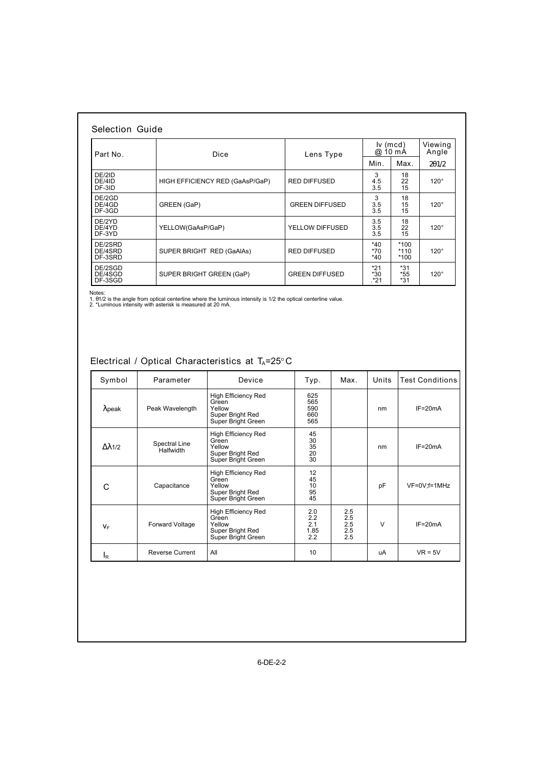| Part No.                      | <b>Dice</b>                     | Lens Type             | $iv$ (mcd)<br>$10 \text{ mA}$<br>@ |                            | Viewing<br>Angle |
|-------------------------------|---------------------------------|-----------------------|------------------------------------|----------------------------|------------------|
|                               |                                 |                       | Min.                               | Max.                       | 2q1/2            |
| DE/2ID<br>DE/4ID<br>DF-3ID    | HIGH EFFICIENCY RED (GaAsP/GaP) | <b>RED DIFFUSED</b>   | 3<br>4.5<br>3.5                    | 18<br>22<br>15             | $120^\circ$      |
| DE/2GD<br>DE/4GD<br>DF-3GD    | GREEN (GaP)                     | <b>GREEN DIFFUSED</b> | 3<br>3.5<br>3.5                    | 18<br>15<br>15             | $120^\circ$      |
| DE/2YD<br>DE/4YD<br>DF-3YD    | YELLOW(GaAsP/GaP)               | YELLOW DIFFUSED       | 3.5<br>3.5<br>3.5                  | 18<br>22<br>15             | $120^\circ$      |
| DE/2SRD<br>DE/4SRD<br>DF-3SRD | SUPER BRIGHT RED (GaAIAs)       | <b>RED DIFFUSED</b>   | *40<br>*70<br>$*40$                | $*100$<br>$*110$<br>$*100$ | $120^\circ$      |
| DE/2SGD<br>DE/4SGD<br>DF-3SGD | SUPER BRIGHT GREEN (GaP)        | <b>GREEN DIFFUSED</b> | $*21$<br>$*30$<br>.*21             | $*31$<br>*55<br>$*31$      | $120^\circ$      |

Notes:<br>1. θ1/2 is the angle from optical centerline where the luminous intensity is 1/2 the optical centerline value.<br>2. \*Luminous intensity with asterisk is measured at 20 mA.

## **Electrical / Optical Characteristics at TA=25°C**

| Symbol         | Parameter                  | Device                                                                                  | Typ.                                                      | Max.                            | Units  | <b>Test Conditions</b> |  |
|----------------|----------------------------|-----------------------------------------------------------------------------------------|-----------------------------------------------------------|---------------------------------|--------|------------------------|--|
| $\lambda$ peak | Peak Wavelength            | <b>High Efficiency Red</b><br>Green<br>Yellow<br>Super Bright Red<br>Super Bright Green | 625<br>565<br>590<br>660<br>565                           |                                 | nm     | $IF = 20mA$            |  |
| Δλ1/2          | Spectral Line<br>Halfwidth | <b>High Efficiency Red</b><br>Green<br>Yellow<br>Super Bright Red<br>Super Bright Green | 45<br>$\begin{array}{c} 30 \\ 35 \end{array}$<br>20<br>30 |                                 | nm     | $IF = 20mA$            |  |
| C              | Capacitance                | High Efficiency Red<br>Green<br>Yellow<br>Super Bright Red<br>Super Bright Green        | 12<br>45<br>10<br>95<br>45                                |                                 | pF     | VF=0V;f=1MHz           |  |
| VF             | Forward Voltage            | <b>High Efficiency Red</b><br>Green<br>Yellow<br>Super Bright Red<br>Super Bright Green | 2.0<br>2.2<br>2.1<br>1.85<br>2.2                          | 2.5<br>2.5<br>2.5<br>2.5<br>2.5 | $\vee$ | $IF=20mA$              |  |
| IR             | <b>Reverse Current</b>     | All                                                                                     | 10                                                        |                                 | uA     | $VR = 5V$              |  |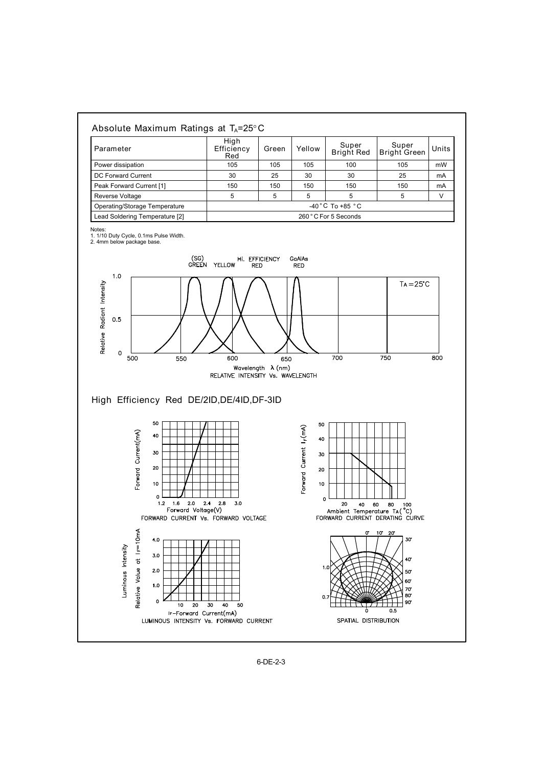

6-DE-2-3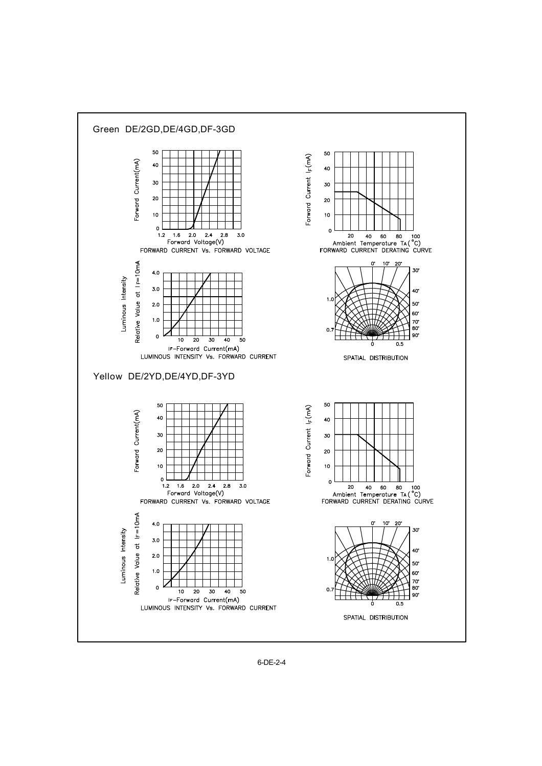